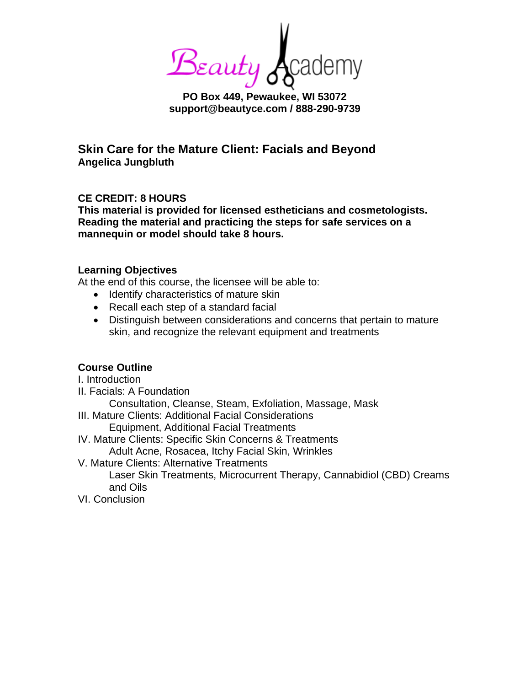**PO Box 449. Pewaukee, WI 53072** 

**support@beautyce.com / 888-290-9739**

**Skin Care for the Mature Client: Facials and Beyond Angelica Jungbluth**

## **CE CREDIT: 8 HOURS**

**This material is provided for licensed estheticians and cosmetologists. Reading the material and practicing the steps for safe services on a mannequin or model should take 8 hours.**

#### **Learning Objectives**

At the end of this course, the licensee will be able to:

- Identify characteristics of mature skin
- Recall each step of a standard facial
- Distinguish between considerations and concerns that pertain to mature skin, and recognize the relevant equipment and treatments

#### **Course Outline**

I. Introduction II. Facials: A Foundation Consultation, Cleanse, Steam, Exfoliation, Massage, Mask III. Mature Clients: Additional Facial Considerations Equipment, Additional Facial Treatments IV. Mature Clients: Specific Skin Concerns & Treatments Adult Acne, Rosacea, Itchy Facial Skin, Wrinkles V. Mature Clients: Alternative Treatments Laser Skin Treatments, Microcurrent Therapy, Cannabidiol (CBD) Creams and Oils VI. Conclusion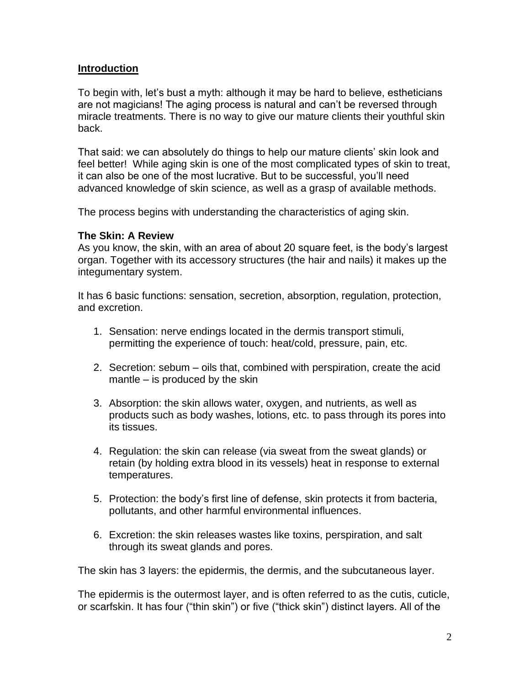### **Introduction**

To begin with, let's bust a myth: although it may be hard to believe, estheticians are not magicians! The aging process is natural and can't be reversed through miracle treatments. There is no way to give our mature clients their youthful skin back.

That said: we can absolutely do things to help our mature clients' skin look and feel better! While aging skin is one of the most complicated types of skin to treat, it can also be one of the most lucrative. But to be successful, you'll need advanced knowledge of skin science, as well as a grasp of available methods.

The process begins with understanding the characteristics of aging skin.

#### **The Skin: A Review**

As you know, the skin, with an area of about 20 square feet, is the body's largest organ. Together with its accessory structures (the hair and nails) it makes up the integumentary system.

It has 6 basic functions: sensation, secretion, absorption, regulation, protection, and excretion.

- 1. Sensation: nerve endings located in the dermis transport stimuli, permitting the experience of touch: heat/cold, pressure, pain, etc.
- 2. Secretion: sebum oils that, combined with perspiration, create the acid mantle – is produced by the skin
- 3. Absorption: the skin allows water, oxygen, and nutrients, as well as products such as body washes, lotions, etc. to pass through its pores into its tissues.
- 4. Regulation: the skin can release (via sweat from the sweat glands) or retain (by holding extra blood in its vessels) heat in response to external temperatures.
- 5. Protection: the body's first line of defense, skin protects it from bacteria, pollutants, and other harmful environmental influences.
- 6. Excretion: the skin releases wastes like toxins, perspiration, and salt through its sweat glands and pores.

The skin has 3 layers: the epidermis, the dermis, and the subcutaneous layer.

The epidermis is the outermost layer, and is often referred to as the cutis, cuticle, or scarfskin. It has four ("thin skin") or five ("thick skin") distinct layers. All of the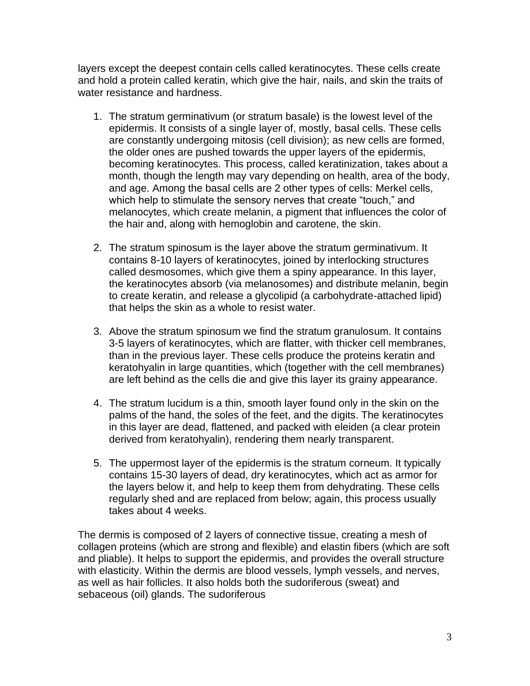layers except the deepest contain cells called keratinocytes. These cells create and hold a protein called keratin, which give the hair, nails, and skin the traits of water resistance and hardness.

- 1. The stratum germinativum (or stratum basale) is the lowest level of the epidermis. It consists of a single layer of, mostly, basal cells. These cells are constantly undergoing mitosis (cell division); as new cells are formed, the older ones are pushed towards the upper layers of the epidermis, becoming keratinocytes. This process, called keratinization, takes about a month, though the length may vary depending on health, area of the body, and age. Among the basal cells are 2 other types of cells: Merkel cells, which help to stimulate the sensory nerves that create "touch," and melanocytes, which create melanin, a pigment that influences the color of the hair and, along with hemoglobin and carotene, the skin.
- 2. The stratum spinosum is the layer above the stratum germinativum. It contains 8-10 layers of keratinocytes, joined by interlocking structures called desmosomes, which give them a spiny appearance. In this layer, the keratinocytes absorb (via melanosomes) and distribute melanin, begin to create keratin, and release a glycolipid (a carbohydrate-attached lipid) that helps the skin as a whole to resist water.
- 3. Above the stratum spinosum we find the stratum granulosum. It contains 3-5 layers of keratinocytes, which are flatter, with thicker cell membranes, than in the previous layer. These cells produce the proteins keratin and keratohyalin in large quantities, which (together with the cell membranes) are left behind as the cells die and give this layer its grainy appearance.
- 4. The stratum lucidum is a thin, smooth layer found only in the skin on the palms of the hand, the soles of the feet, and the digits. The keratinocytes in this layer are dead, flattened, and packed with eleiden (a clear protein derived from keratohyalin), rendering them nearly transparent.
- 5. The uppermost layer of the epidermis is the stratum corneum. It typically contains 15-30 layers of dead, dry keratinocytes, which act as armor for the layers below it, and help to keep them from dehydrating. These cells regularly shed and are replaced from below; again, this process usually takes about 4 weeks.

The dermis is composed of 2 layers of connective tissue, creating a mesh of collagen proteins (which are strong and flexible) and elastin fibers (which are soft and pliable). It helps to support the epidermis, and provides the overall structure with elasticity. Within the dermis are blood vessels, lymph vessels, and nerves, as well as hair follicles. It also holds both the sudoriferous (sweat) and sebaceous (oil) glands. The sudoriferous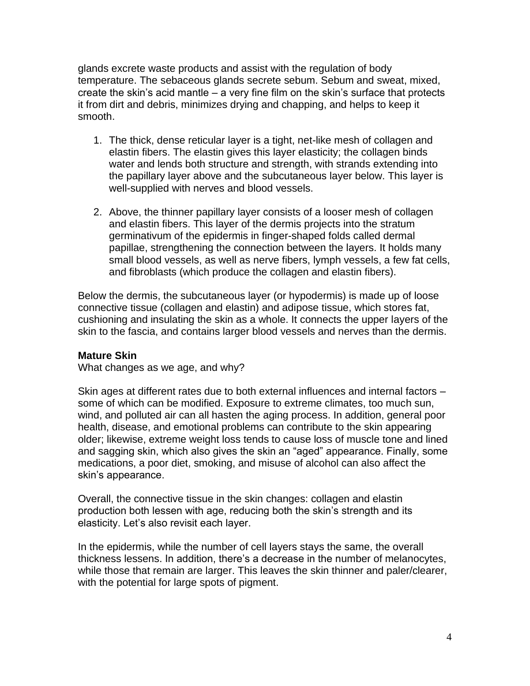glands excrete waste products and assist with the regulation of body temperature. The sebaceous glands secrete sebum. Sebum and sweat, mixed, create the skin's acid mantle – a very fine film on the skin's surface that protects it from dirt and debris, minimizes drying and chapping, and helps to keep it smooth.

- 1. The thick, dense reticular layer is a tight, net-like mesh of collagen and elastin fibers. The elastin gives this layer elasticity; the collagen binds water and lends both structure and strength, with strands extending into the papillary layer above and the subcutaneous layer below. This layer is well-supplied with nerves and blood vessels.
- 2. Above, the thinner papillary layer consists of a looser mesh of collagen and elastin fibers. This layer of the dermis projects into the stratum germinativum of the epidermis in finger-shaped folds called dermal papillae, strengthening the connection between the layers. It holds many small blood vessels, as well as nerve fibers, lymph vessels, a few fat cells, and fibroblasts (which produce the collagen and elastin fibers).

Below the dermis, the subcutaneous layer (or hypodermis) is made up of loose connective tissue (collagen and elastin) and adipose tissue, which stores fat, cushioning and insulating the skin as a whole. It connects the upper layers of the skin to the fascia, and contains larger blood vessels and nerves than the dermis.

#### **Mature Skin**

What changes as we age, and why?

Skin ages at different rates due to both external influences and internal factors – some of which can be modified. Exposure to extreme climates, too much sun, wind, and polluted air can all hasten the aging process. In addition, general poor health, disease, and emotional problems can contribute to the skin appearing older; likewise, extreme weight loss tends to cause loss of muscle tone and lined and sagging skin, which also gives the skin an "aged" appearance. Finally, some medications, a poor diet, smoking, and misuse of alcohol can also affect the skin's appearance.

Overall, the connective tissue in the skin changes: collagen and elastin production both lessen with age, reducing both the skin's strength and its elasticity. Let's also revisit each layer.

In the epidermis, while the number of cell layers stays the same, the overall thickness lessens. In addition, there's a decrease in the number of melanocytes, while those that remain are larger. This leaves the skin thinner and paler/clearer, with the potential for large spots of pigment.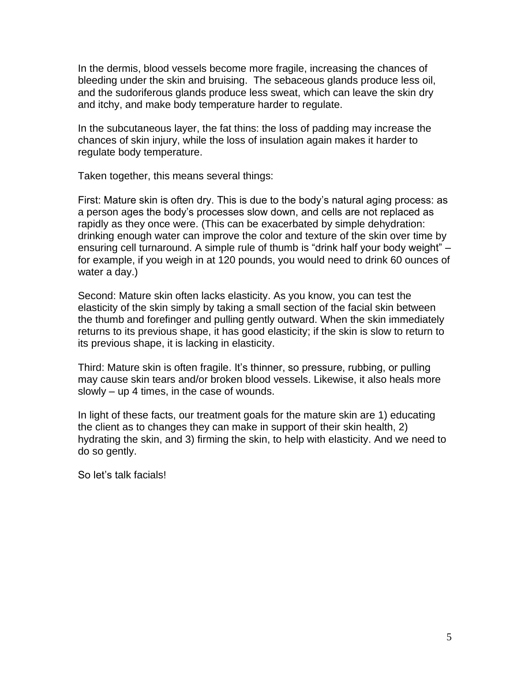In the dermis, blood vessels become more fragile, increasing the chances of bleeding under the skin and bruising. The sebaceous glands produce less oil, and the sudoriferous glands produce less sweat, which can leave the skin dry and itchy, and make body temperature harder to regulate.

In the subcutaneous layer, the fat thins: the loss of padding may increase the chances of skin injury, while the loss of insulation again makes it harder to regulate body temperature.

Taken together, this means several things:

First: Mature skin is often dry. This is due to the body's natural aging process: as a person ages the body's processes slow down, and cells are not replaced as rapidly as they once were. (This can be exacerbated by simple dehydration: drinking enough water can improve the color and texture of the skin over time by ensuring cell turnaround. A simple rule of thumb is "drink half your body weight" – for example, if you weigh in at 120 pounds, you would need to drink 60 ounces of water a day.)

Second: Mature skin often lacks elasticity. As you know, you can test the elasticity of the skin simply by taking a small section of the facial skin between the thumb and forefinger and pulling gently outward. When the skin immediately returns to its previous shape, it has good elasticity; if the skin is slow to return to its previous shape, it is lacking in elasticity.

Third: Mature skin is often fragile. It's thinner, so pressure, rubbing, or pulling may cause skin tears and/or broken blood vessels. Likewise, it also heals more slowly – up 4 times, in the case of wounds.

In light of these facts, our treatment goals for the mature skin are 1) educating the client as to changes they can make in support of their skin health, 2) hydrating the skin, and 3) firming the skin, to help with elasticity. And we need to do so gently.

So let's talk facials!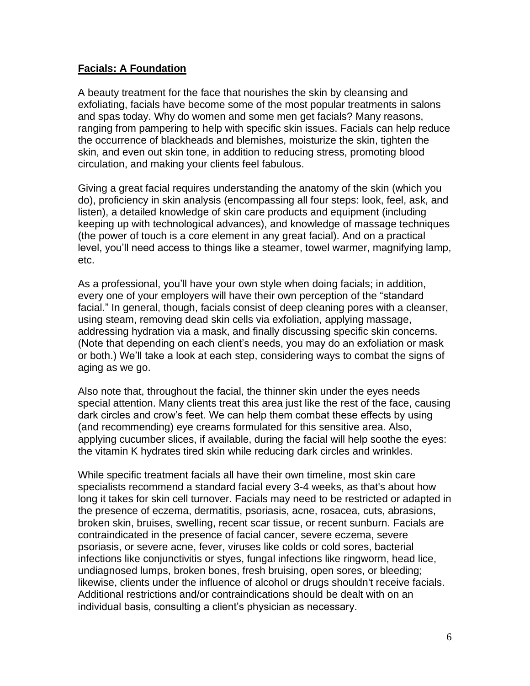### **Facials: A Foundation**

A beauty treatment for the face that nourishes the skin by cleansing and exfoliating, facials have become some of the most popular treatments in salons and spas today. Why do women and some men get facials? Many reasons, ranging from pampering to help with specific skin issues. Facials can help reduce the occurrence of blackheads and blemishes, moisturize the skin, tighten the skin, and even out skin tone, in addition to reducing stress, promoting blood circulation, and making your clients feel fabulous.

Giving a great facial requires understanding the anatomy of the skin (which you do), proficiency in skin analysis (encompassing all four steps: look, feel, ask, and listen), a detailed knowledge of skin care products and equipment (including keeping up with technological advances), and knowledge of massage techniques (the power of touch is a core element in any great facial). And on a practical level, you'll need access to things like a steamer, towel warmer, magnifying lamp, etc.

As a professional, you'll have your own style when doing facials; in addition, every one of your employers will have their own perception of the "standard facial." In general, though, facials consist of deep cleaning pores with a cleanser, using steam, removing dead skin cells via exfoliation, applying massage, addressing hydration via a mask, and finally discussing specific skin concerns. (Note that depending on each client's needs, you may do an exfoliation or mask or both.) We'll take a look at each step, considering ways to combat the signs of aging as we go.

Also note that, throughout the facial, the thinner skin under the eyes needs special attention. Many clients treat this area just like the rest of the face, causing dark circles and crow's feet. We can help them combat these effects by using (and recommending) eye creams formulated for this sensitive area. Also, applying cucumber slices, if available, during the facial will help soothe the eyes: the vitamin K hydrates tired skin while reducing dark circles and wrinkles.

While specific treatment facials all have their own timeline, most skin care specialists recommend a standard facial every 3-4 weeks, as that's about how long it takes for skin cell turnover. Facials may need to be restricted or adapted in the presence of eczema, dermatitis, psoriasis, acne, rosacea, cuts, abrasions, broken skin, bruises, swelling, recent scar tissue, or recent sunburn. Facials are contraindicated in the presence of facial cancer, severe eczema, severe psoriasis, or severe acne, fever, viruses like colds or cold sores, bacterial infections like conjunctivitis or styes, fungal infections like ringworm, head lice, undiagnosed lumps, broken bones, fresh bruising, open sores, or bleeding; likewise, clients under the influence of alcohol or drugs shouldn't receive facials. Additional restrictions and/or contraindications should be dealt with on an individual basis, consulting a client's physician as necessary.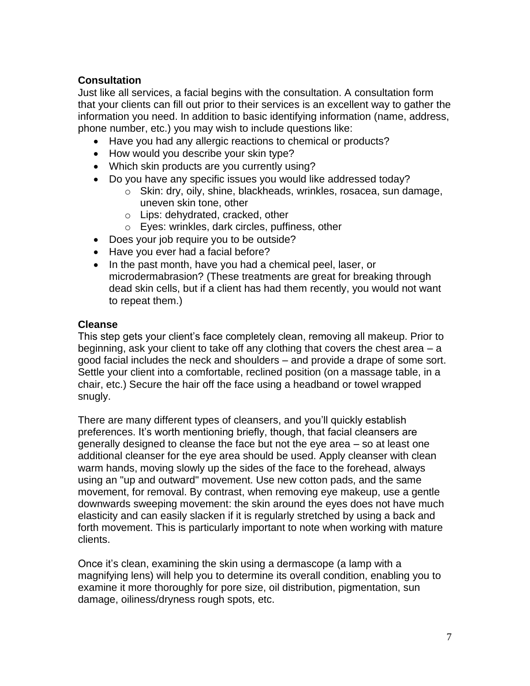## **Consultation**

Just like all services, a facial begins with the consultation. A consultation form that your clients can fill out prior to their services is an excellent way to gather the information you need. In addition to basic identifying information (name, address, phone number, etc.) you may wish to include questions like:

- Have you had any allergic reactions to chemical or products?
- How would you describe your skin type?
- Which skin products are you currently using?
- Do you have any specific issues you would like addressed today?
	- o Skin: dry, oily, shine, blackheads, wrinkles, rosacea, sun damage, uneven skin tone, other
	- o Lips: dehydrated, cracked, other
	- o Eyes: wrinkles, dark circles, puffiness, other
- Does your job require you to be outside?
- Have you ever had a facial before?
- In the past month, have you had a chemical peel, laser, or microdermabrasion? (These treatments are great for breaking through dead skin cells, but if a client has had them recently, you would not want to repeat them.)

#### **Cleanse**

This step gets your client's face completely clean, removing all makeup. Prior to beginning, ask your client to take off any clothing that covers the chest area – a good facial includes the neck and shoulders – and provide a drape of some sort. Settle your client into a comfortable, reclined position (on a massage table, in a chair, etc.) Secure the hair off the face using a headband or towel wrapped snugly.

There are many different types of cleansers, and you'll quickly establish preferences. It's worth mentioning briefly, though, that facial cleansers are generally designed to cleanse the face but not the eye area – so at least one additional cleanser for the eye area should be used. Apply cleanser with clean warm hands, moving slowly up the sides of the face to the forehead, always using an "up and outward" movement. Use new cotton pads, and the same movement, for removal. By contrast, when removing eye makeup, use a gentle downwards sweeping movement: the skin around the eyes does not have much elasticity and can easily slacken if it is regularly stretched by using a back and forth movement. This is particularly important to note when working with mature clients.

Once it's clean, examining the skin using a dermascope (a lamp with a magnifying lens) will help you to determine its overall condition, enabling you to examine it more thoroughly for pore size, oil distribution, pigmentation, sun damage, oiliness/dryness rough spots, etc.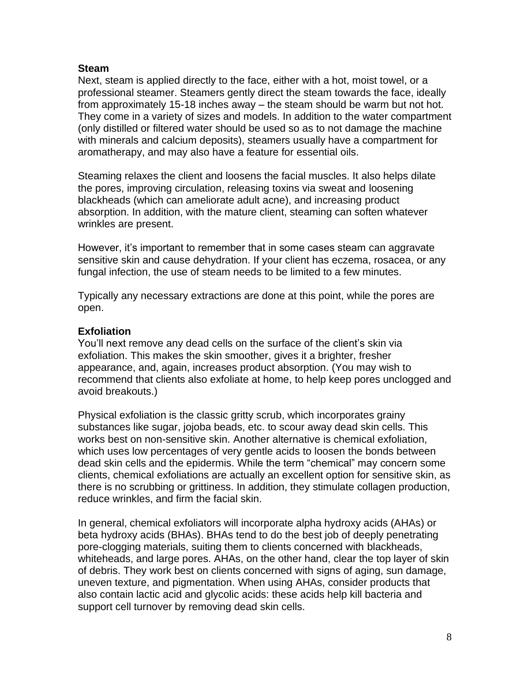#### **Steam**

Next, steam is applied directly to the face, either with a hot, moist towel, or a professional steamer. Steamers gently direct the steam towards the face, ideally from approximately 15-18 inches away – the steam should be warm but not hot. They come in a variety of sizes and models. In addition to the water compartment (only distilled or filtered water should be used so as to not damage the machine with minerals and calcium deposits), steamers usually have a compartment for aromatherapy, and may also have a feature for essential oils.

Steaming relaxes the client and loosens the facial muscles. It also helps dilate the pores, improving circulation, releasing toxins via sweat and loosening blackheads (which can ameliorate adult acne), and increasing product absorption. In addition, with the mature client, steaming can soften whatever wrinkles are present.

However, it's important to remember that in some cases steam can aggravate sensitive skin and cause dehydration. If your client has eczema, rosacea, or any fungal infection, the use of steam needs to be limited to a few minutes.

Typically any necessary extractions are done at this point, while the pores are open.

#### **Exfoliation**

You'll next remove any dead cells on the surface of the client's skin via exfoliation. This makes the skin smoother, gives it a brighter, fresher appearance, and, again, increases product absorption. (You may wish to recommend that clients also exfoliate at home, to help keep pores unclogged and avoid breakouts.)

Physical exfoliation is the classic gritty scrub, which incorporates grainy substances like sugar, jojoba beads, etc. to scour away dead skin cells. This works best on non-sensitive skin. Another alternative is chemical exfoliation, which uses low percentages of very gentle acids to loosen the bonds between dead skin cells and the epidermis. While the term "chemical" may concern some clients, chemical exfoliations are actually an excellent option for sensitive skin, as there is no scrubbing or grittiness. In addition, they stimulate collagen production, reduce wrinkles, and firm the facial skin.

In general, chemical exfoliators will incorporate alpha hydroxy acids (AHAs) or beta hydroxy acids (BHAs). BHAs tend to do the best job of deeply penetrating pore-clogging materials, suiting them to clients concerned with blackheads, whiteheads, and large pores. AHAs, on the other hand, clear the top layer of skin of debris. They work best on clients concerned with signs of aging, sun damage, uneven texture, and pigmentation. When using AHAs, consider products that also contain lactic acid and glycolic acids: these acids help kill bacteria and support cell turnover by removing dead skin cells.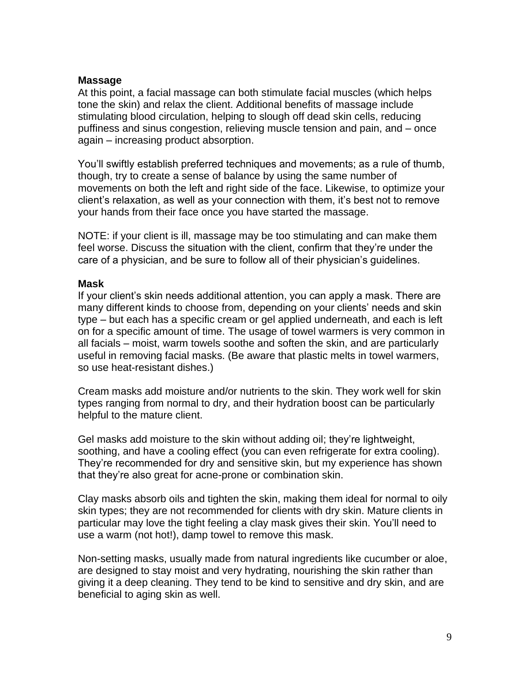#### **Massage**

At this point, a facial massage can both stimulate facial muscles (which helps tone the skin) and relax the client. Additional benefits of massage include stimulating blood circulation, helping to slough off dead skin cells, reducing puffiness and sinus congestion, relieving muscle tension and pain, and – once again – increasing product absorption.

You'll swiftly establish preferred techniques and movements; as a rule of thumb, though, try to create a sense of balance by using the same number of movements on both the left and right side of the face. Likewise, to optimize your client's relaxation, as well as your connection with them, it's best not to remove your hands from their face once you have started the massage.

NOTE: if your client is ill, massage may be too stimulating and can make them feel worse. Discuss the situation with the client, confirm that they're under the care of a physician, and be sure to follow all of their physician's guidelines.

#### **Mask**

If your client's skin needs additional attention, you can apply a mask. There are many different kinds to choose from, depending on your clients' needs and skin type – but each has a specific cream or gel applied underneath, and each is left on for a specific amount of time. The usage of towel warmers is very common in all facials – moist, warm towels soothe and soften the skin, and are particularly useful in removing facial masks. (Be aware that plastic melts in towel warmers, so use heat-resistant dishes.)

Cream masks add moisture and/or nutrients to the skin. They work well for skin types ranging from normal to dry, and their hydration boost can be particularly helpful to the mature client.

Gel masks add moisture to the skin without adding oil; they're lightweight, soothing, and have a cooling effect (you can even refrigerate for extra cooling). They're recommended for dry and sensitive skin, but my experience has shown that they're also great for acne-prone or combination skin.

Clay masks absorb oils and tighten the skin, making them ideal for normal to oily skin types; they are not recommended for clients with dry skin. Mature clients in particular may love the tight feeling a clay mask gives their skin. You'll need to use a warm (not hot!), damp towel to remove this mask.

Non-setting masks, usually made from natural ingredients like cucumber or aloe, are designed to stay moist and very hydrating, nourishing the skin rather than giving it a deep cleaning. They tend to be kind to sensitive and dry skin, and are beneficial to aging skin as well.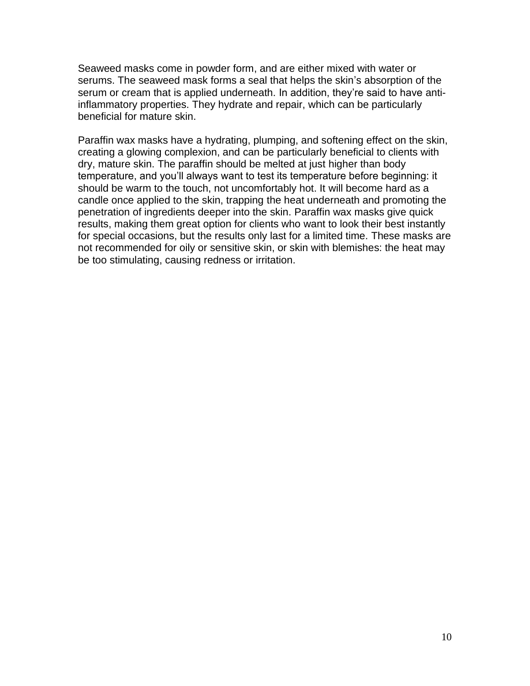Seaweed masks come in powder form, and are either mixed with water or serums. The seaweed mask forms a seal that helps the skin's absorption of the serum or cream that is applied underneath. In addition, they're said to have antiinflammatory properties. They hydrate and repair, which can be particularly beneficial for mature skin.

Paraffin wax masks have a hydrating, plumping, and softening effect on the skin, creating a glowing complexion, and can be particularly beneficial to clients with dry, mature skin. The paraffin should be melted at just higher than body temperature, and you'll always want to test its temperature before beginning: it should be warm to the touch, not uncomfortably hot. It will become hard as a candle once applied to the skin, trapping the heat underneath and promoting the penetration of ingredients deeper into the skin. Paraffin wax masks give quick results, making them great option for clients who want to look their best instantly for special occasions, but the results only last for a limited time. These masks are not recommended for oily or sensitive skin, or skin with blemishes: the heat may be too stimulating, causing redness or irritation.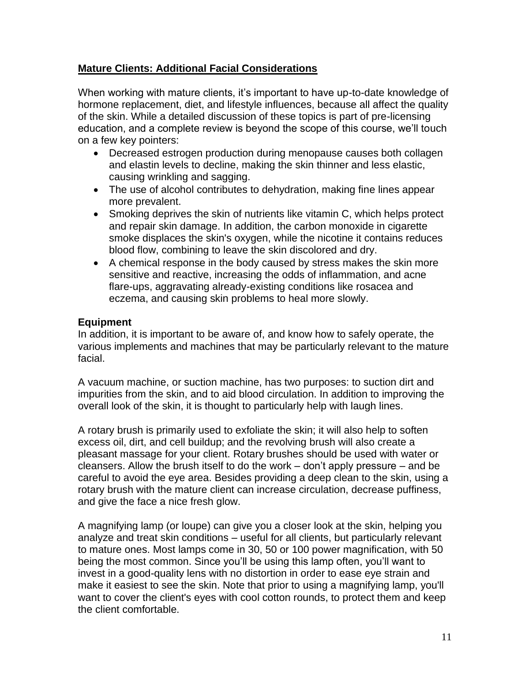## **Mature Clients: Additional Facial Considerations**

When working with mature clients, it's important to have up-to-date knowledge of hormone replacement, diet, and lifestyle influences, because all affect the quality of the skin. While a detailed discussion of these topics is part of pre-licensing education, and a complete review is beyond the scope of this course, we'll touch on a few key pointers:

- Decreased estrogen production during menopause causes both collagen and elastin levels to decline, making the skin thinner and less elastic, causing wrinkling and sagging.
- The use of alcohol contributes to dehydration, making fine lines appear more prevalent.
- Smoking deprives the skin of nutrients like vitamin C, which helps protect and repair skin damage. In addition, the carbon monoxide in cigarette smoke displaces the skin's oxygen, while the nicotine it contains reduces blood flow, combining to leave the skin discolored and dry.
- A chemical response in the body caused by stress makes the skin more sensitive and reactive, increasing the odds of inflammation, and acne flare-ups, aggravating already-existing conditions like rosacea and eczema, and causing skin problems to heal more slowly.

### **Equipment**

In addition, it is important to be aware of, and know how to safely operate, the various implements and machines that may be particularly relevant to the mature facial.

A vacuum machine, or suction machine, has two purposes: to suction dirt and impurities from the skin, and to aid blood circulation. In addition to improving the overall look of the skin, it is thought to particularly help with laugh lines.

A rotary brush is primarily used to exfoliate the skin; it will also help to soften excess oil, dirt, and cell buildup; and the revolving brush will also create a pleasant massage for your client. Rotary brushes should be used with water or cleansers. Allow the brush itself to do the work – don't apply pressure – and be careful to avoid the eye area. Besides providing a deep clean to the skin, using a rotary brush with the mature client can increase circulation, decrease puffiness, and give the face a nice fresh glow.

A magnifying lamp (or loupe) can give you a closer look at the skin, helping you analyze and treat skin conditions – useful for all clients, but particularly relevant to mature ones. Most lamps come in 30, 50 or 100 power magnification, with 50 being the most common. Since you'll be using this lamp often, you'll want to invest in a good-quality lens with no distortion in order to ease eye strain and make it easiest to see the skin. Note that prior to using a magnifying lamp, you'll want to cover the client's eyes with cool cotton rounds, to protect them and keep the client comfortable.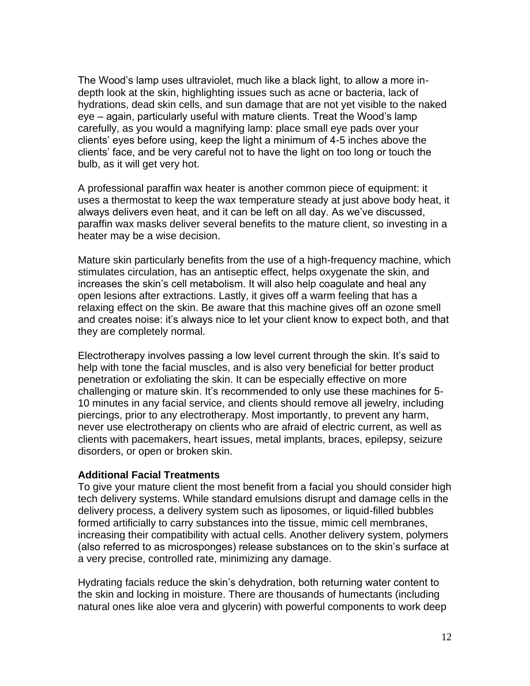The Wood's lamp uses ultraviolet, much like a black light, to allow a more indepth look at the skin, highlighting issues such as acne or bacteria, lack of hydrations, dead skin cells, and sun damage that are not yet visible to the naked eye – again, particularly useful with mature clients. Treat the Wood's lamp carefully, as you would a magnifying lamp: place small eye pads over your clients' eyes before using, keep the light a minimum of 4-5 inches above the clients' face, and be very careful not to have the light on too long or touch the bulb, as it will get very hot.

A professional paraffin wax heater is another common piece of equipment: it uses a thermostat to keep the wax temperature steady at just above body heat, it always delivers even heat, and it can be left on all day. As we've discussed, paraffin wax masks deliver several benefits to the mature client, so investing in a heater may be a wise decision.

Mature skin particularly benefits from the use of a high-frequency machine, which stimulates circulation, has an antiseptic effect, helps oxygenate the skin, and increases the skin's cell metabolism. It will also help coagulate and heal any open lesions after extractions. Lastly, it gives off a warm feeling that has a relaxing effect on the skin. Be aware that this machine gives off an ozone smell and creates noise: it's always nice to let your client know to expect both, and that they are completely normal.

Electrotherapy involves passing a low level current through the skin. It's said to help with tone the facial muscles, and is also very beneficial for better product penetration or exfoliating the skin. It can be especially effective on more challenging or mature skin. It's recommended to only use these machines for 5- 10 minutes in any facial service, and clients should remove all jewelry, including piercings, prior to any electrotherapy. Most importantly, to prevent any harm, never use electrotherapy on clients who are afraid of electric current, as well as clients with pacemakers, heart issues, metal implants, braces, epilepsy, seizure disorders, or open or broken skin.

#### **Additional Facial Treatments**

To give your mature client the most benefit from a facial you should consider high tech delivery systems. While standard emulsions disrupt and damage cells in the delivery process, a delivery system such as liposomes, or liquid-filled bubbles formed artificially to carry substances into the tissue, mimic cell membranes, increasing their compatibility with actual cells. Another delivery system, polymers (also referred to as microsponges) release substances on to the skin's surface at a very precise, controlled rate, minimizing any damage.

Hydrating facials reduce the skin's dehydration, both returning water content to the skin and locking in moisture. There are thousands of humectants (including natural ones like aloe vera and glycerin) with powerful components to work deep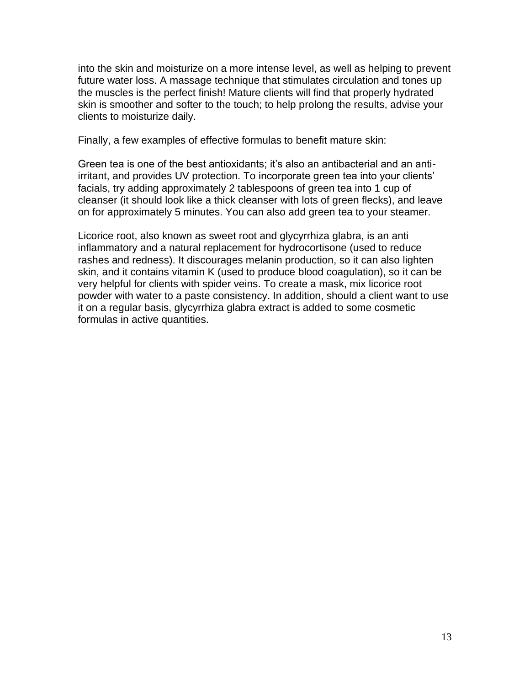into the skin and moisturize on a more intense level, as well as helping to prevent future water loss. A massage technique that stimulates circulation and tones up the muscles is the perfect finish! Mature clients will find that properly hydrated skin is smoother and softer to the touch; to help prolong the results, advise your clients to moisturize daily.

Finally, a few examples of effective formulas to benefit mature skin:

Green tea is one of the best antioxidants; it's also an antibacterial and an antiirritant, and provides UV protection. To incorporate green tea into your clients' facials, try adding approximately 2 tablespoons of green tea into 1 cup of cleanser (it should look like a thick cleanser with lots of green flecks), and leave on for approximately 5 minutes. You can also add green tea to your steamer.

Licorice root, also known as sweet root and glycyrrhiza glabra, is an anti inflammatory and a natural replacement for hydrocortisone (used to reduce rashes and redness). It discourages melanin production, so it can also lighten skin, and it contains vitamin K (used to produce blood coagulation), so it can be very helpful for clients with spider veins. To create a mask, mix licorice root powder with water to a paste consistency. In addition, should a client want to use it on a regular basis, glycyrrhiza glabra extract is added to some cosmetic formulas in active quantities.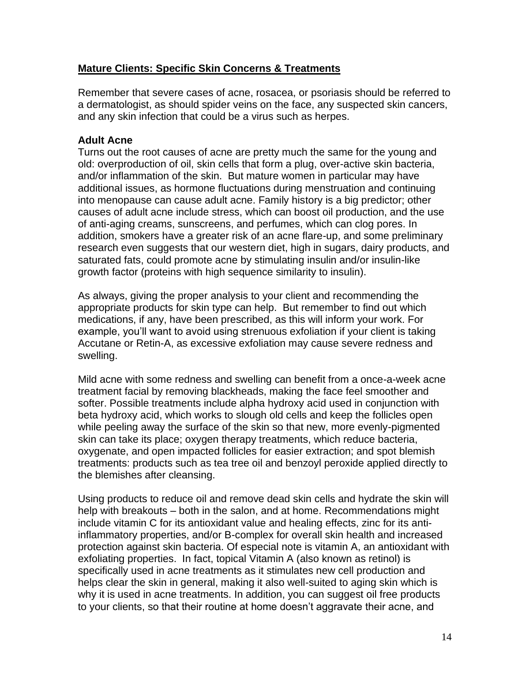### **Mature Clients: Specific Skin Concerns & Treatments**

Remember that severe cases of acne, rosacea, or psoriasis should be referred to a dermatologist, as should spider veins on the face, any suspected skin cancers, and any skin infection that could be a virus such as herpes.

### **Adult Acne**

Turns out the root causes of acne are pretty much the same for the young and old: overproduction of oil, skin cells that form a plug, over-active skin bacteria, and/or inflammation of the skin. But mature women in particular may have additional issues, as hormone fluctuations during menstruation and continuing into menopause can cause adult acne. Family history is a big predictor; other causes of adult acne include stress, which can boost oil production, and the use of anti-aging creams, sunscreens, and perfumes, which can clog pores. In addition, smokers have a greater risk of an acne flare-up, and some preliminary research even suggests that our western diet, high in sugars, dairy products, and saturated fats, could promote acne by stimulating insulin and/or insulin-like growth factor (proteins with high sequence similarity to insulin).

As always, giving the proper analysis to your client and recommending the appropriate products for skin type can help. But remember to find out which medications, if any, have been prescribed, as this will inform your work. For example, you'll want to avoid using strenuous exfoliation if your client is taking Accutane or Retin-A, as excessive exfoliation may cause severe redness and swelling.

Mild acne with some redness and swelling can benefit from a once-a-week acne treatment facial by removing blackheads, making the face feel smoother and softer. Possible treatments include alpha hydroxy acid used in conjunction with beta hydroxy acid, which works to slough old cells and keep the follicles open while peeling away the surface of the skin so that new, more evenly-pigmented skin can take its place; oxygen therapy treatments, which reduce bacteria, oxygenate, and open impacted follicles for easier extraction; and spot blemish treatments: products such as tea tree oil and benzoyl peroxide applied directly to the blemishes after cleansing.

Using products to reduce oil and remove dead skin cells and hydrate the skin will help with breakouts – both in the salon, and at home. Recommendations might include vitamin C for its antioxidant value and healing effects, zinc for its antiinflammatory properties, and/or B-complex for overall skin health and increased protection against skin bacteria. Of especial note is vitamin A, an antioxidant with exfoliating properties. In fact, topical Vitamin A (also known as retinol) is specifically used in acne treatments as it stimulates new cell production and helps clear the skin in general, making it also well-suited to aging skin which is why it is used in acne treatments. In addition, you can suggest oil free products to your clients, so that their routine at home doesn't aggravate their acne, and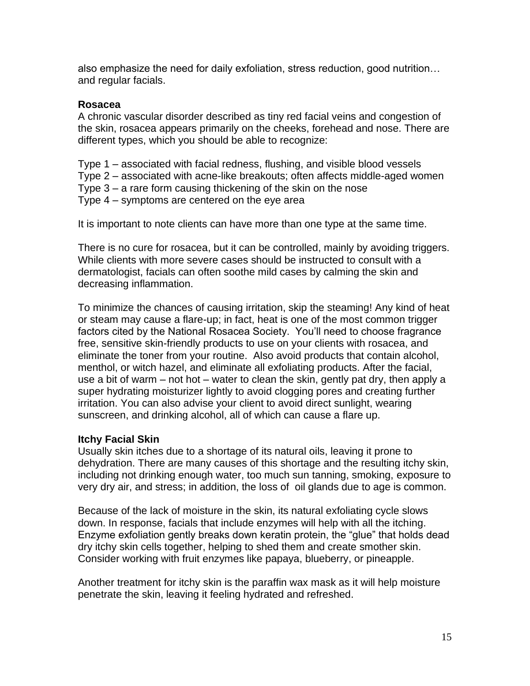also emphasize the need for daily exfoliation, stress reduction, good nutrition… and regular facials.

#### **Rosacea**

A chronic vascular disorder described as tiny red facial veins and congestion of the skin, rosacea appears primarily on the cheeks, forehead and nose. There are different types, which you should be able to recognize:

Type 1 – associated with facial redness, flushing, and visible blood vessels Type 2 – associated with acne-like breakouts; often affects middle-aged women Type 3 – a rare form causing thickening of the skin on the nose Type 4 – symptoms are centered on the eye area

It is important to note clients can have more than one type at the same time.

There is no cure for rosacea, but it can be controlled, mainly by avoiding triggers. While clients with more severe cases should be instructed to consult with a dermatologist, facials can often soothe mild cases by calming the skin and decreasing inflammation.

To minimize the chances of causing irritation, skip the steaming! Any kind of heat or steam may cause a flare-up; in fact, heat is one of the most common trigger factors cited by the National Rosacea Society. You'll need to choose fragrance free, sensitive skin-friendly products to use on your clients with rosacea, and eliminate the toner from your routine. Also avoid products that contain alcohol, menthol, or witch hazel, and eliminate all exfoliating products. After the facial, use a bit of warm – not hot – water to clean the skin, gently pat dry, then apply a super hydrating moisturizer lightly to avoid clogging pores and creating further irritation. You can also advise your client to avoid direct sunlight, wearing sunscreen, and drinking alcohol, all of which can cause a flare up.

#### **Itchy Facial Skin**

Usually skin itches due to a shortage of its natural oils, leaving it prone to dehydration. There are many causes of this shortage and the resulting itchy skin, including not drinking enough water, too much sun tanning, smoking, exposure to very dry air, and stress; in addition, the loss of oil glands due to age is common.

Because of the lack of moisture in the skin, its natural exfoliating cycle slows down. In response, facials that include enzymes will help with all the itching. Enzyme exfoliation gently breaks down keratin protein, the "glue" that holds dead dry itchy skin cells together, helping to shed them and create smother skin. Consider working with fruit enzymes like papaya, blueberry, or pineapple.

Another treatment for itchy skin is the paraffin wax mask as it will help moisture penetrate the skin, leaving it feeling hydrated and refreshed.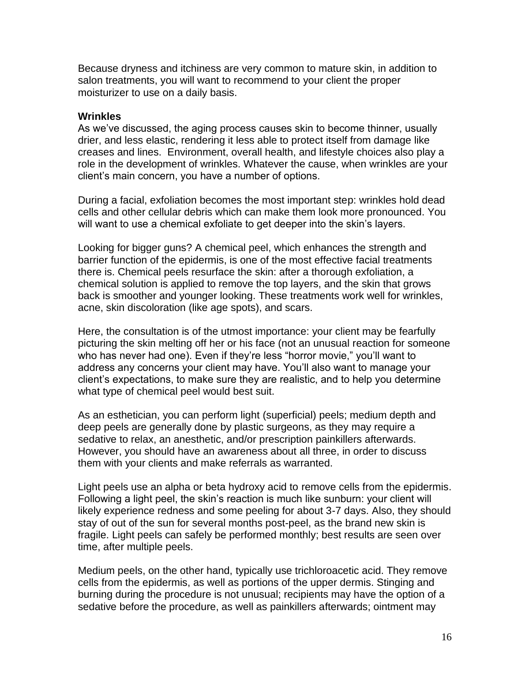Because dryness and itchiness are very common to mature skin, in addition to salon treatments, you will want to recommend to your client the proper moisturizer to use on a daily basis.

#### **Wrinkles**

As we've discussed, the aging process causes skin to become thinner, usually drier, and less elastic, rendering it less able to protect itself from damage like creases and lines. Environment, overall health, and lifestyle choices also play a role in the development of wrinkles. Whatever the cause, when wrinkles are your client's main concern, you have a number of options.

During a facial, exfoliation becomes the most important step: wrinkles hold dead cells and other cellular debris which can make them look more pronounced. You will want to use a chemical exfoliate to get deeper into the skin's layers.

Looking for bigger guns? A chemical peel, which enhances the strength and barrier function of the epidermis, is one of the most effective facial treatments there is. Chemical peels resurface the skin: after a thorough exfoliation, a chemical solution is applied to remove the top layers, and the skin that grows back is smoother and younger looking. These treatments work well for wrinkles, acne, skin discoloration (like age spots), and scars.

Here, the consultation is of the utmost importance: your client may be fearfully picturing the skin melting off her or his face (not an unusual reaction for someone who has never had one). Even if they're less "horror movie," you'll want to address any concerns your client may have. You'll also want to manage your client's expectations, to make sure they are realistic, and to help you determine what type of chemical peel would best suit.

As an esthetician, you can perform light (superficial) peels; medium depth and deep peels are generally done by plastic surgeons, as they may require a sedative to relax, an anesthetic, and/or prescription painkillers afterwards. However, you should have an awareness about all three, in order to discuss them with your clients and make referrals as warranted.

Light peels use an alpha or beta hydroxy acid to remove cells from the epidermis. Following a light peel, the skin's reaction is much like sunburn: your client will likely experience redness and some peeling for about 3-7 days. Also, they should stay of out of the sun for several months post-peel, as the brand new skin is fragile. Light peels can safely be performed monthly; best results are seen over time, after multiple peels.

Medium peels, on the other hand, typically use trichloroacetic acid. They remove cells from the epidermis, as well as portions of the upper dermis. Stinging and burning during the procedure is not unusual; recipients may have the option of a sedative before the procedure, as well as painkillers afterwards; ointment may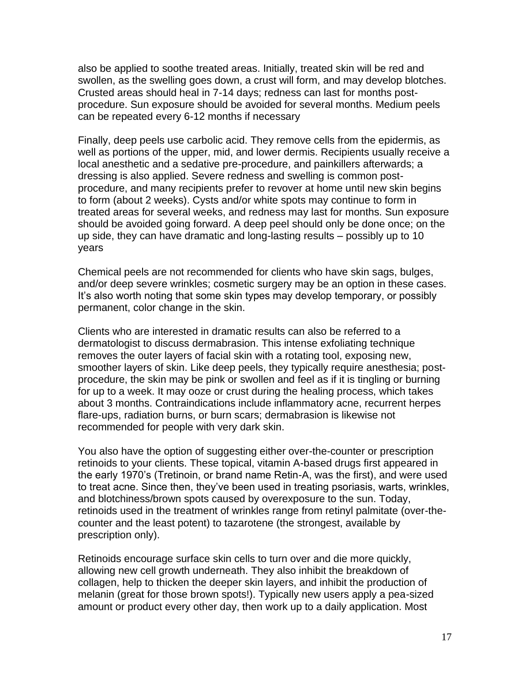also be applied to soothe treated areas. Initially, treated skin will be red and swollen, as the swelling goes down, a crust will form, and may develop blotches. Crusted areas should heal in 7-14 days; redness can last for months postprocedure. Sun exposure should be avoided for several months. Medium peels can be repeated every 6-12 months if necessary

Finally, deep peels use carbolic acid. They remove cells from the epidermis, as well as portions of the upper, mid, and lower dermis. Recipients usually receive a local anesthetic and a sedative pre-procedure, and painkillers afterwards; a dressing is also applied. Severe redness and swelling is common postprocedure, and many recipients prefer to revover at home until new skin begins to form (about 2 weeks). Cysts and/or white spots may continue to form in treated areas for several weeks, and redness may last for months. Sun exposure should be avoided going forward. A deep peel should only be done once; on the up side, they can have dramatic and long-lasting results – possibly up to 10 years

Chemical peels are not recommended for clients who have skin sags, bulges, and/or deep severe wrinkles; cosmetic surgery may be an option in these cases. It's also worth noting that some skin types may develop temporary, or possibly permanent, color change in the skin.

Clients who are interested in dramatic results can also be referred to a dermatologist to discuss dermabrasion. This intense exfoliating technique removes the outer layers of facial skin with a rotating tool, exposing new, smoother layers of skin. Like deep peels, they typically require anesthesia; postprocedure, the skin may be pink or swollen and feel as if it is tingling or burning for up to a week. It may ooze or crust during the healing process, which takes about 3 months. Contraindications include inflammatory acne, recurrent herpes flare-ups, radiation burns, or burn scars; dermabrasion is likewise not recommended for people with very dark skin.

You also have the option of suggesting either over-the-counter or prescription retinoids to your clients. These topical, vitamin A-based drugs first appeared in the early 1970's (Tretinoin, or brand name Retin-A, was the first), and were used to treat acne. Since then, they've been used in treating psoriasis, warts, wrinkles, and blotchiness/brown spots caused by overexposure to the sun. Today, retinoids used in the treatment of wrinkles range from retinyl palmitate (over-thecounter and the least potent) to tazarotene (the strongest, available by prescription only).

Retinoids encourage surface skin cells to turn over and die more quickly, allowing new cell growth underneath. They also inhibit the breakdown of collagen, help to thicken the deeper skin layers, and inhibit the production of melanin (great for those brown spots!). Typically new users apply a pea-sized amount or product every other day, then work up to a daily application. Most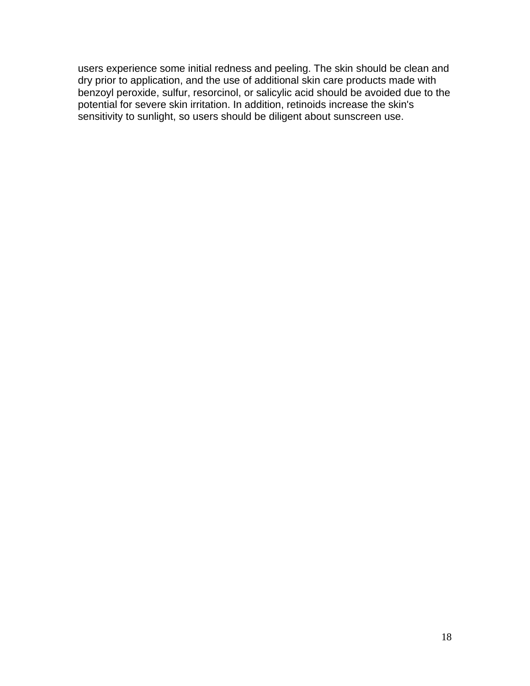users experience some initial redness and peeling. The skin should be clean and dry prior to application, and the use of additional skin care products made with benzoyl peroxide, sulfur, resorcinol, or salicylic acid should be avoided due to the potential for severe skin irritation. In addition, retinoids increase the skin's sensitivity to sunlight, so users should be diligent about sunscreen use.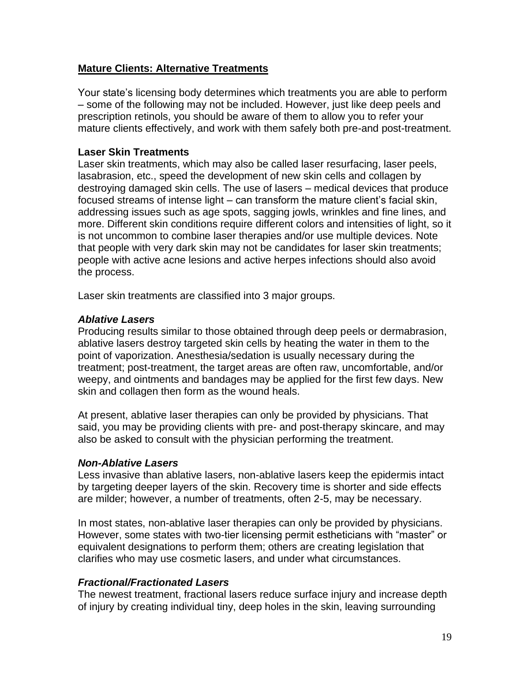### **Mature Clients: Alternative Treatments**

Your state's licensing body determines which treatments you are able to perform – some of the following may not be included. However, just like deep peels and prescription retinols, you should be aware of them to allow you to refer your mature clients effectively, and work with them safely both pre-and post-treatment.

#### **Laser Skin Treatments**

Laser skin treatments, which may also be called laser resurfacing, laser peels, lasabrasion, etc., speed the development of new skin cells and collagen by destroying damaged skin cells. The use of lasers – medical devices that produce focused streams of intense light – can transform the mature client's facial skin, addressing issues such as age spots, sagging jowls, wrinkles and fine lines, and more. Different skin conditions require different colors and intensities of light, so it is not uncommon to combine laser therapies and/or use multiple devices. Note that people with very dark skin may not be candidates for laser skin treatments; people with active acne lesions and active herpes infections should also avoid the process.

Laser skin treatments are classified into 3 major groups.

#### *Ablative Lasers*

Producing results similar to those obtained through deep peels or dermabrasion, ablative lasers destroy targeted skin cells by heating the water in them to the point of vaporization. Anesthesia/sedation is usually necessary during the treatment; post-treatment, the target areas are often raw, uncomfortable, and/or weepy, and ointments and bandages may be applied for the first few days. New skin and collagen then form as the wound heals.

At present, ablative laser therapies can only be provided by physicians. That said, you may be providing clients with pre- and post-therapy skincare, and may also be asked to consult with the physician performing the treatment.

#### *Non-Ablative Lasers*

Less invasive than ablative lasers, non-ablative lasers keep the epidermis intact by targeting deeper layers of the skin. Recovery time is shorter and side effects are milder; however, a number of treatments, often 2-5, may be necessary.

In most states, non-ablative laser therapies can only be provided by physicians. However, some states with two-tier licensing permit estheticians with "master" or equivalent designations to perform them; others are creating legislation that clarifies who may use cosmetic lasers, and under what circumstances.

#### *Fractional/Fractionated Lasers*

The newest treatment, fractional lasers reduce surface injury and increase depth of injury by creating individual tiny, deep holes in the skin, leaving surrounding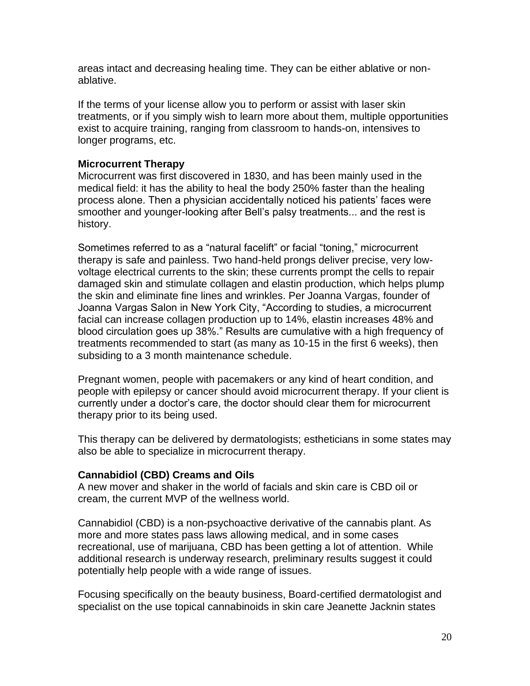areas intact and decreasing healing time. They can be either ablative or nonablative.

If the terms of your license allow you to perform or assist with laser skin treatments, or if you simply wish to learn more about them, multiple opportunities exist to acquire training, ranging from classroom to hands-on, intensives to longer programs, etc.

### **Microcurrent Therapy**

Microcurrent was first discovered in 1830, and has been mainly used in the medical field: it has the ability to heal the body 250% faster than the healing process alone. Then a physician accidentally noticed his patients' faces were smoother and younger-looking after Bell's palsy treatments... and the rest is history.

Sometimes referred to as a "natural facelift" or facial "toning," microcurrent therapy is safe and painless. Two hand-held prongs deliver precise, very lowvoltage electrical currents to the skin; these currents prompt the cells to repair damaged skin and stimulate collagen and elastin production, which helps plump the skin and eliminate fine lines and wrinkles. Per Joanna Vargas, founder of Joanna Vargas Salon in New York City, "According to studies, a microcurrent facial can increase collagen production up to 14%, elastin increases 48% and blood circulation goes up 38%." Results are cumulative with a high frequency of treatments recommended to start (as many as 10-15 in the first 6 weeks), then subsiding to a 3 month maintenance schedule.

Pregnant women, people with pacemakers or any kind of heart condition, and people with epilepsy or cancer should avoid microcurrent therapy. If your client is currently under a doctor's care, the doctor should clear them for microcurrent therapy prior to its being used.

This therapy can be delivered by dermatologists; estheticians in some states may also be able to specialize in microcurrent therapy.

#### **Cannabidiol (CBD) Creams and Oils**

A new mover and shaker in the world of facials and skin care is CBD oil or cream, the current MVP of the wellness world.

Cannabidiol (CBD) is a non-psychoactive derivative of the cannabis plant. As more and more states pass laws allowing medical, and in some cases recreational, use of marijuana, CBD has been getting a lot of attention. While additional research is underway research, preliminary results suggest it could potentially help people with a wide range of issues.

Focusing specifically on the beauty business, Board-certified dermatologist and specialist on the use topical cannabinoids in skin care Jeanette Jacknin states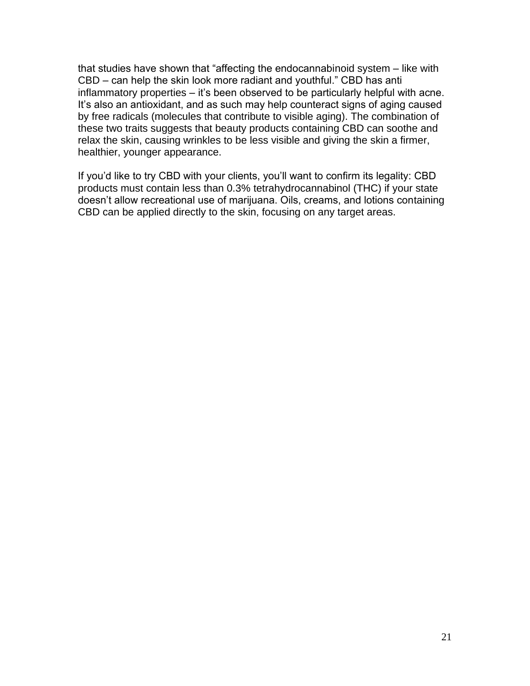that studies have shown that "affecting the endocannabinoid system – like with CBD – can help the skin look more radiant and youthful." CBD has anti inflammatory properties – it's been observed to be particularly helpful with acne. It's also an antioxidant, and as such may help counteract signs of aging caused by free radicals (molecules that contribute to visible aging). The combination of these two traits suggests that beauty products containing CBD can soothe and relax the skin, causing wrinkles to be less visible and giving the skin a firmer, healthier, younger appearance.

If you'd like to try CBD with your clients, you'll want to confirm its legality: CBD products must contain less than 0.3% tetrahydrocannabinol (THC) if your state doesn't allow recreational use of marijuana. Oils, creams, and lotions containing CBD can be applied directly to the skin, focusing on any target areas.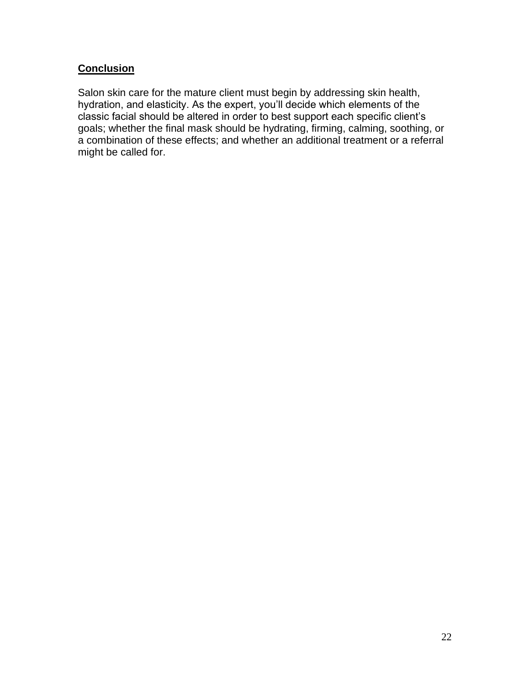# **Conclusion**

Salon skin care for the mature client must begin by addressing skin health, hydration, and elasticity. As the expert, you'll decide which elements of the classic facial should be altered in order to best support each specific client's goals; whether the final mask should be hydrating, firming, calming, soothing, or a combination of these effects; and whether an additional treatment or a referral might be called for.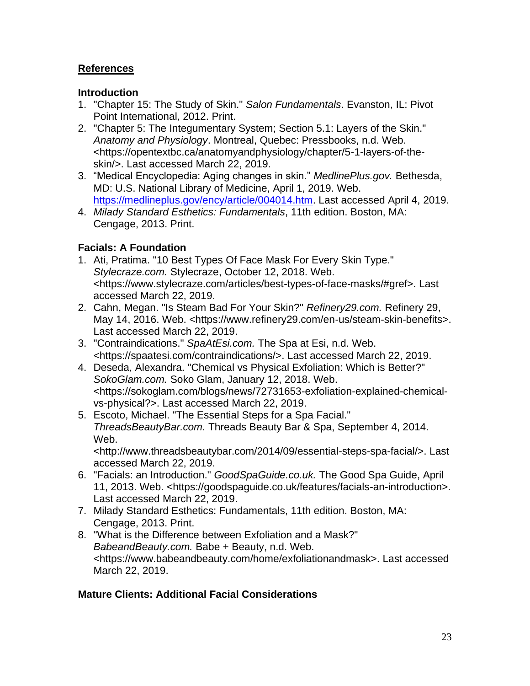# **References**

### **Introduction**

- 1. "Chapter 15: The Study of Skin." *Salon Fundamentals*. Evanston, IL: Pivot Point International, 2012. Print.
- 2. "Chapter 5: The Integumentary System; Section 5.1: Layers of the Skin." *Anatomy and Physiology*. Montreal, Quebec: Pressbooks, n.d. Web. <https://opentextbc.ca/anatomyandphysiology/chapter/5-1-layers-of-theskin/>. Last accessed March 22, 2019.
- 3. "Medical Encyclopedia: Aging changes in skin." *MedlinePlus.gov.* Bethesda, MD: U.S. National Library of Medicine, April 1, 2019. Web. [https://medlineplus.gov/ency/article/004014.htm.](https://medlineplus.gov/ency/article/004014.htm) Last accessed April 4, 2019.
- 4. *Milady Standard Esthetics: Fundamentals*, 11th edition. Boston, MA: Cengage, 2013. Print.

# **Facials: A Foundation**

- 1. Ati, Pratima. "10 Best Types Of Face Mask For Every Skin Type." *Stylecraze.com.* Stylecraze, October 12, 2018. Web. <https://www.stylecraze.com/articles/best-types-of-face-masks/#gref>. Last accessed March 22, 2019.
- 2. Cahn, Megan. "Is Steam Bad For Your Skin?" *Refinery29.com.* Refinery 29, May 14, 2016. Web. <https://www.refinery29.com/en-us/steam-skin-benefits>. Last accessed March 22, 2019.
- 3. "Contraindications." *SpaAtEsi.com.* The Spa at Esi, n.d. Web. <https://spaatesi.com/contraindications/>. Last accessed March 22, 2019.
- 4. Deseda, Alexandra. "Chemical vs Physical Exfoliation: Which is Better?" *SokoGlam.com.* Soko Glam, January 12, 2018. Web. <https://sokoglam.com/blogs/news/72731653-exfoliation-explained-chemicalvs-physical?>. Last accessed March 22, 2019.
- 5. Escoto, Michael. "The Essential Steps for a Spa Facial." *ThreadsBeautyBar.com.* Threads Beauty Bar & Spa, September 4, 2014. Web.

<http://www.threadsbeautybar.com/2014/09/essential-steps-spa-facial/>. Last accessed March 22, 2019.

- 6. "Facials: an Introduction." *GoodSpaGuide.co.uk.* The Good Spa Guide, April 11, 2013. Web. <https://goodspaguide.co.uk/features/facials-an-introduction>. Last accessed March 22, 2019.
- 7. Milady Standard Esthetics: Fundamentals, 11th edition. Boston, MA: Cengage, 2013. Print.
- 8. "What is the Difference between Exfoliation and a Mask?" *BabeandBeauty.com.* Babe + Beauty, n.d. Web. <https://www.babeandbeauty.com/home/exfoliationandmask>. Last accessed March 22, 2019.

## **Mature Clients: Additional Facial Considerations**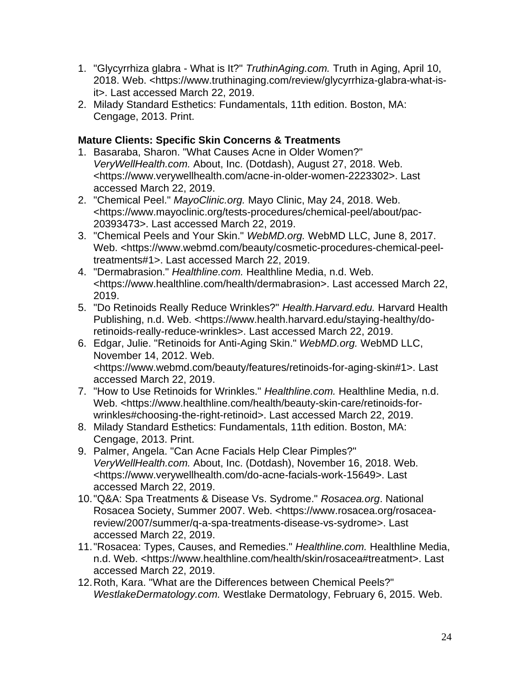- 1. "Glycyrrhiza glabra What is It?" *TruthinAging.com.* Truth in Aging, April 10, 2018. Web. <https://www.truthinaging.com/review/glycyrrhiza-glabra-what-isit>. Last accessed March 22, 2019.
- 2. Milady Standard Esthetics: Fundamentals, 11th edition. Boston, MA: Cengage, 2013. Print.

# **Mature Clients: Specific Skin Concerns & Treatments**

- 1. Basaraba, Sharon. "What Causes Acne in Older Women?" *VeryWellHealth.com.* About, Inc. (Dotdash), August 27, 2018. Web. <https://www.verywellhealth.com/acne-in-older-women-2223302>. Last accessed March 22, 2019.
- 2. "Chemical Peel." *MayoClinic.org.* Mayo Clinic, May 24, 2018. Web. <https://www.mayoclinic.org/tests-procedures/chemical-peel/about/pac-20393473>. Last accessed March 22, 2019.
- 3. "Chemical Peels and Your Skin." *WebMD.org.* WebMD LLC, June 8, 2017. Web. <https://www.webmd.com/beauty/cosmetic-procedures-chemical-peeltreatments#1>. Last accessed March 22, 2019.
- 4. "Dermabrasion." *Healthline.com.* Healthline Media, n.d. Web. <https://www.healthline.com/health/dermabrasion>. Last accessed March 22, 2019.
- 5. "Do Retinoids Really Reduce Wrinkles?" *Health.Harvard.edu.* Harvard Health Publishing, n.d. Web. <https://www.health.harvard.edu/staying-healthy/doretinoids-really-reduce-wrinkles>. Last accessed March 22, 2019.
- 6. Edgar, Julie. "Retinoids for Anti-Aging Skin." *WebMD.org.* WebMD LLC, November 14, 2012. Web. <https://www.webmd.com/beauty/features/retinoids-for-aging-skin#1>. Last accessed March 22, 2019.
- 7. "How to Use Retinoids for Wrinkles." *Healthline.com.* Healthline Media, n.d. Web. <https://www.healthline.com/health/beauty-skin-care/retinoids-forwrinkles#choosing-the-right-retinoid>. Last accessed March 22, 2019.
- 8. Milady Standard Esthetics: Fundamentals, 11th edition. Boston, MA: Cengage, 2013. Print.
- 9. Palmer, Angela. "Can Acne Facials Help Clear Pimples?" *VeryWellHealth.com.* About, Inc. (Dotdash), November 16, 2018. Web. <https://www.verywellhealth.com/do-acne-facials-work-15649>. Last accessed March 22, 2019.
- 10."Q&A: Spa Treatments & Disease Vs. Sydrome." *Rosacea.org*. National Rosacea Society, Summer 2007. Web. <https://www.rosacea.org/rosaceareview/2007/summer/q-a-spa-treatments-disease-vs-sydrome>. Last accessed March 22, 2019.
- 11."Rosacea: Types, Causes, and Remedies." *Healthline.com.* Healthline Media, n.d. Web. <https://www.healthline.com/health/skin/rosacea#treatment>. Last accessed March 22, 2019.
- 12.Roth, Kara. "What are the Differences between Chemical Peels?" *WestlakeDermatology.com.* Westlake Dermatology, February 6, 2015. Web.